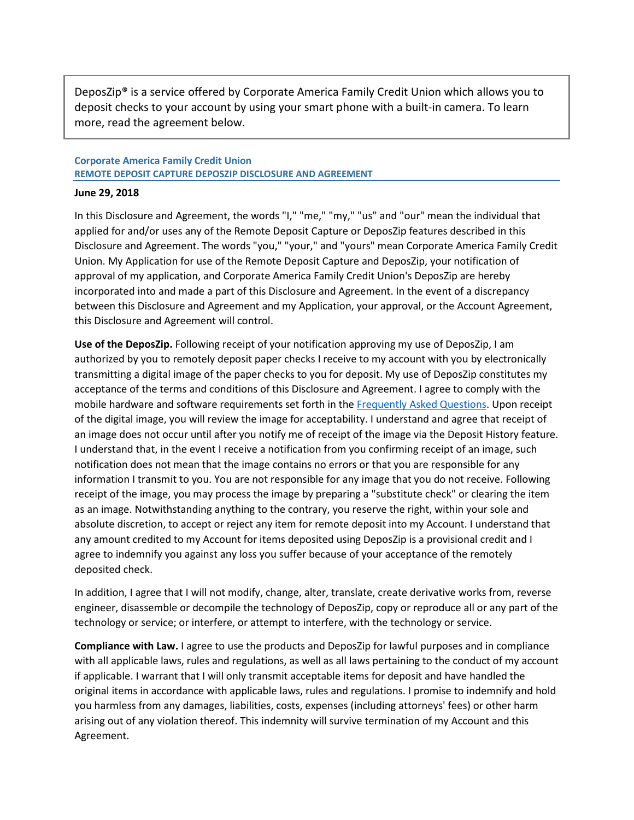DeposZip® is a service offered by Corporate America Family Credit Union which allows you to deposit checks to your account by using your smart phone with a built-in camera. To learn more, read the agreement below.

## **Corporate America Family Credit Union REMOTE DEPOSIT CAPTURE DEPOSZIP DISCLOSURE AND AGREEMENT**

## **June 29, 2018**

In this Disclosure and Agreement, the words "I," "me," "my," "us" and "our" mean the individual that applied for and/or uses any of the Remote Deposit Capture or DeposZip features described in this Disclosure and Agreement. The words "you," "your," and "yours" mean Corporate America Family Credit Union. My Application for use of the Remote Deposit Capture and DeposZip, your notification of approval of my application, and Corporate America Family Credit Union's DeposZip are hereby incorporated into and made a part of this Disclosure and Agreement. In the event of a discrepancy between this Disclosure and Agreement and my Application, your approval, or the Account Agreement, this Disclosure and Agreement will control.

**Use of the DeposZip.** Following receipt of your notification approving my use of DeposZip, I am authorized by you to remotely deposit paper checks I receive to my account with you by electronically transmitting a digital image of the paper checks to you for deposit. My use of DeposZip constitutes my acceptance of the terms and conditions of this Disclosure and Agreement. I agree to comply with the mobile hardware and software requirements set forth in th[e Frequently Asked Questions.](https://www.cafcu.org/docs/default-source/faqs/deposzipfaqs_web.pdf?sfvrsn=b04f2ea8_2) Upon receipt of the digital image, you will review the image for acceptability. I understand and agree that receipt of an image does not occur until after you notify me of receipt of the image via the Deposit History feature. I understand that, in the event I receive a notification from you confirming receipt of an image, such notification does not mean that the image contains no errors or that you are responsible for any information I transmit to you. You are not responsible for any image that you do not receive. Following receipt of the image, you may process the image by preparing a "substitute check" or clearing the item as an image. Notwithstanding anything to the contrary, you reserve the right, within your sole and absolute discretion, to accept or reject any item for remote deposit into my Account. I understand that any amount credited to my Account for items deposited using DeposZip is a provisional credit and I agree to indemnify you against any loss you suffer because of your acceptance of the remotely deposited check.

In addition, I agree that I will not modify, change, alter, translate, create derivative works from, reverse engineer, disassemble or decompile the technology of DeposZip, copy or reproduce all or any part of the technology or service; or interfere, or attempt to interfere, with the technology or service.

**Compliance with Law.** I agree to use the products and DeposZip for lawful purposes and in compliance with all applicable laws, rules and regulations, as well as all laws pertaining to the conduct of my account if applicable. I warrant that I will only transmit acceptable items for deposit and have handled the original items in accordance with applicable laws, rules and regulations. I promise to indemnify and hold you harmless from any damages, liabilities, costs, expenses (including attorneys' fees) or other harm arising out of any violation thereof. This indemnity will survive termination of my Account and this Agreement.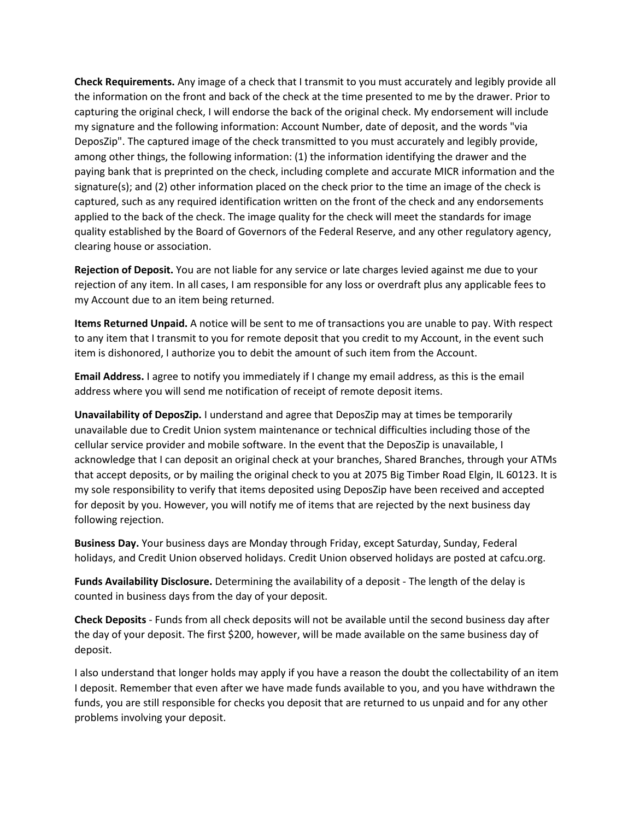**Check Requirements.** Any image of a check that I transmit to you must accurately and legibly provide all the information on the front and back of the check at the time presented to me by the drawer. Prior to capturing the original check, I will endorse the back of the original check. My endorsement will include my signature and the following information: Account Number, date of deposit, and the words "via DeposZip". The captured image of the check transmitted to you must accurately and legibly provide, among other things, the following information: (1) the information identifying the drawer and the paying bank that is preprinted on the check, including complete and accurate MICR information and the signature(s); and (2) other information placed on the check prior to the time an image of the check is captured, such as any required identification written on the front of the check and any endorsements applied to the back of the check. The image quality for the check will meet the standards for image quality established by the Board of Governors of the Federal Reserve, and any other regulatory agency, clearing house or association.

**Rejection of Deposit.** You are not liable for any service or late charges levied against me due to your rejection of any item. In all cases, I am responsible for any loss or overdraft plus any applicable fees to my Account due to an item being returned.

**Items Returned Unpaid.** A notice will be sent to me of transactions you are unable to pay. With respect to any item that I transmit to you for remote deposit that you credit to my Account, in the event such item is dishonored, I authorize you to debit the amount of such item from the Account.

**Email Address.** I agree to notify you immediately if I change my email address, as this is the email address where you will send me notification of receipt of remote deposit items.

**Unavailability of DeposZip.** I understand and agree that DeposZip may at times be temporarily unavailable due to Credit Union system maintenance or technical difficulties including those of the cellular service provider and mobile software. In the event that the DeposZip is unavailable, I acknowledge that I can deposit an original check at your branches, Shared Branches, through your ATMs that accept deposits, or by mailing the original check to you at 2075 Big Timber Road Elgin, IL 60123. It is my sole responsibility to verify that items deposited using DeposZip have been received and accepted for deposit by you. However, you will notify me of items that are rejected by the next business day following rejection.

**Business Day.** Your business days are Monday through Friday, except Saturday, Sunday, Federal holidays, and Credit Union observed holidays. Credit Union observed holidays are posted at cafcu.org.

**Funds Availability Disclosure.** Determining the availability of a deposit - The length of the delay is counted in business days from the day of your deposit.

**Check Deposits** - Funds from all check deposits will not be available until the second business day after the day of your deposit. The first \$200, however, will be made available on the same business day of deposit.

I also understand that longer holds may apply if you have a reason the doubt the collectability of an item I deposit. Remember that even after we have made funds available to you, and you have withdrawn the funds, you are still responsible for checks you deposit that are returned to us unpaid and for any other problems involving your deposit.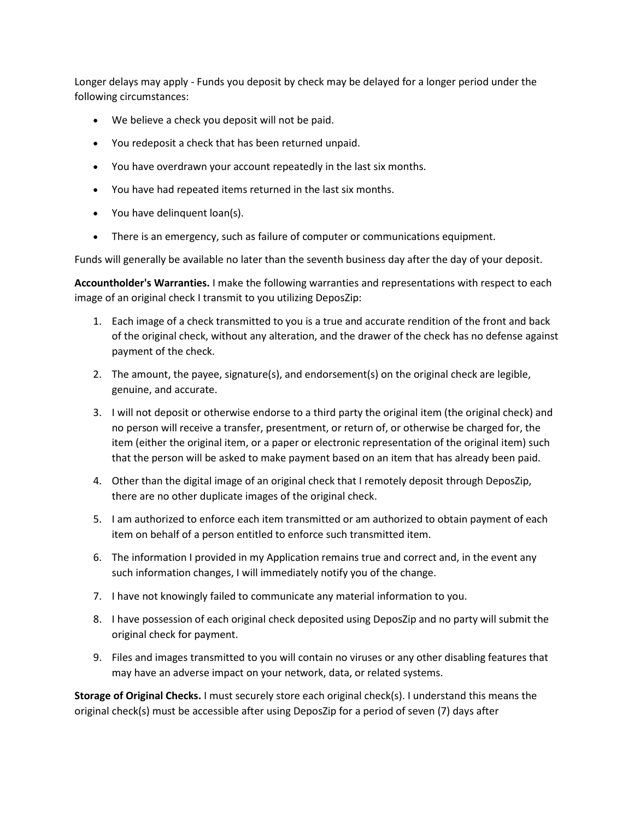Longer delays may apply - Funds you deposit by check may be delayed for a longer period under the following circumstances:

- We believe a check you deposit will not be paid.
- You redeposit a check that has been returned unpaid.
- You have overdrawn your account repeatedly in the last six months.
- You have had repeated items returned in the last six months.
- You have delinquent loan(s).
- There is an emergency, such as failure of computer or communications equipment.

Funds will generally be available no later than the seventh business day after the day of your deposit.

**Accountholder's Warranties.** I make the following warranties and representations with respect to each image of an original check I transmit to you utilizing DeposZip:

- 1. Each image of a check transmitted to you is a true and accurate rendition of the front and back of the original check, without any alteration, and the drawer of the check has no defense against payment of the check.
- 2. The amount, the payee, signature(s), and endorsement(s) on the original check are legible, genuine, and accurate.
- 3. I will not deposit or otherwise endorse to a third party the original item (the original check) and no person will receive a transfer, presentment, or return of, or otherwise be charged for, the item (either the original item, or a paper or electronic representation of the original item) such that the person will be asked to make payment based on an item that has already been paid.
- 4. Other than the digital image of an original check that I remotely deposit through DeposZip, there are no other duplicate images of the original check.
- 5. I am authorized to enforce each item transmitted or am authorized to obtain payment of each item on behalf of a person entitled to enforce such transmitted item.
- 6. The information I provided in my Application remains true and correct and, in the event any such information changes, I will immediately notify you of the change.
- 7. I have not knowingly failed to communicate any material information to you.
- 8. I have possession of each original check deposited using DeposZip and no party will submit the original check for payment.
- 9. Files and images transmitted to you will contain no viruses or any other disabling features that may have an adverse impact on your network, data, or related systems.

**Storage of Original Checks.** I must securely store each original check(s). I understand this means the original check(s) must be accessible after using DeposZip for a period of seven (7) days after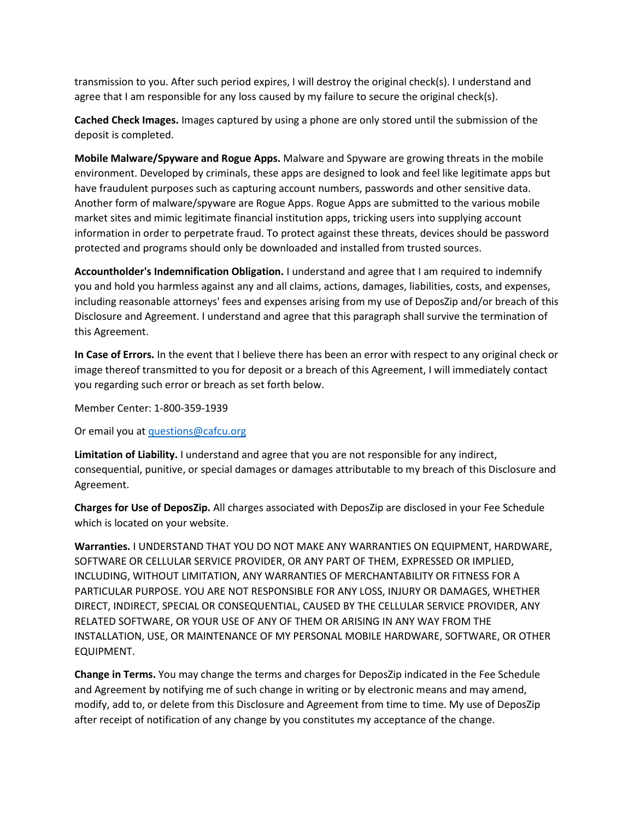transmission to you. After such period expires, I will destroy the original check(s). I understand and agree that I am responsible for any loss caused by my failure to secure the original check(s).

**Cached Check Images.** Images captured by using a phone are only stored until the submission of the deposit is completed.

**Mobile Malware/Spyware and Rogue Apps.** Malware and Spyware are growing threats in the mobile environment. Developed by criminals, these apps are designed to look and feel like legitimate apps but have fraudulent purposes such as capturing account numbers, passwords and other sensitive data. Another form of malware/spyware are Rogue Apps. Rogue Apps are submitted to the various mobile market sites and mimic legitimate financial institution apps, tricking users into supplying account information in order to perpetrate fraud. To protect against these threats, devices should be password protected and programs should only be downloaded and installed from trusted sources.

**Accountholder's Indemnification Obligation.** I understand and agree that I am required to indemnify you and hold you harmless against any and all claims, actions, damages, liabilities, costs, and expenses, including reasonable attorneys' fees and expenses arising from my use of DeposZip and/or breach of this Disclosure and Agreement. I understand and agree that this paragraph shall survive the termination of this Agreement.

**In Case of Errors.** In the event that I believe there has been an error with respect to any original check or image thereof transmitted to you for deposit or a breach of this Agreement, I will immediately contact you regarding such error or breach as set forth below.

Member Center: 1-800-359-1939

Or email you at [questions@cafcu.org](mailto:questions@cafcu.org)

**Limitation of Liability.** I understand and agree that you are not responsible for any indirect, consequential, punitive, or special damages or damages attributable to my breach of this Disclosure and Agreement.

**Charges for Use of DeposZip.** All charges associated with DeposZip are disclosed in your Fee Schedule which is located on your website.

**Warranties.** I UNDERSTAND THAT YOU DO NOT MAKE ANY WARRANTIES ON EQUIPMENT, HARDWARE, SOFTWARE OR CELLULAR SERVICE PROVIDER, OR ANY PART OF THEM, EXPRESSED OR IMPLIED, INCLUDING, WITHOUT LIMITATION, ANY WARRANTIES OF MERCHANTABILITY OR FITNESS FOR A PARTICULAR PURPOSE. YOU ARE NOT RESPONSIBLE FOR ANY LOSS, INJURY OR DAMAGES, WHETHER DIRECT, INDIRECT, SPECIAL OR CONSEQUENTIAL, CAUSED BY THE CELLULAR SERVICE PROVIDER, ANY RELATED SOFTWARE, OR YOUR USE OF ANY OF THEM OR ARISING IN ANY WAY FROM THE INSTALLATION, USE, OR MAINTENANCE OF MY PERSONAL MOBILE HARDWARE, SOFTWARE, OR OTHER EQUIPMENT.

**Change in Terms.** You may change the terms and charges for DeposZip indicated in the Fee Schedule and Agreement by notifying me of such change in writing or by electronic means and may amend, modify, add to, or delete from this Disclosure and Agreement from time to time. My use of DeposZip after receipt of notification of any change by you constitutes my acceptance of the change.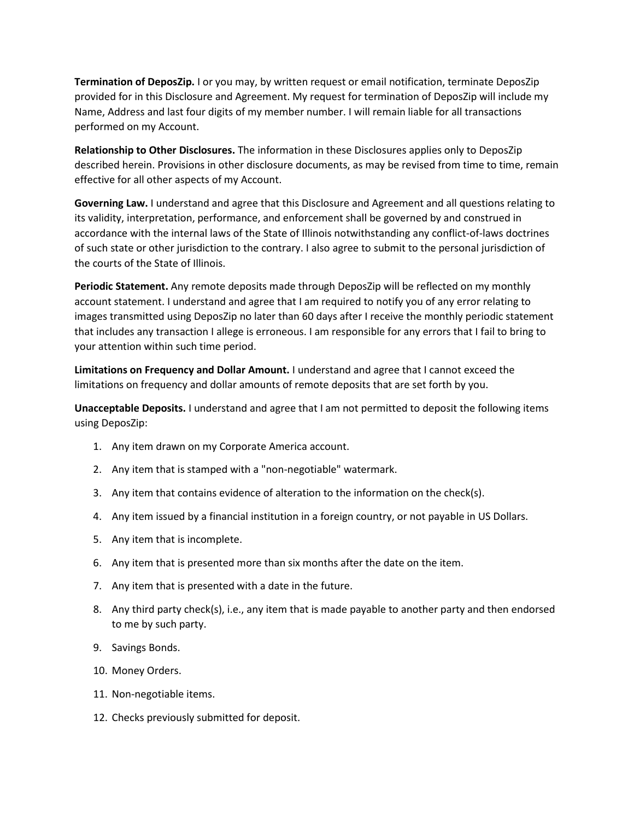**Termination of DeposZip.** I or you may, by written request or email notification, terminate DeposZip provided for in this Disclosure and Agreement. My request for termination of DeposZip will include my Name, Address and last four digits of my member number. I will remain liable for all transactions performed on my Account.

**Relationship to Other Disclosures.** The information in these Disclosures applies only to DeposZip described herein. Provisions in other disclosure documents, as may be revised from time to time, remain effective for all other aspects of my Account.

**Governing Law.** I understand and agree that this Disclosure and Agreement and all questions relating to its validity, interpretation, performance, and enforcement shall be governed by and construed in accordance with the internal laws of the State of Illinois notwithstanding any conflict-of-laws doctrines of such state or other jurisdiction to the contrary. I also agree to submit to the personal jurisdiction of the courts of the State of Illinois.

**Periodic Statement.** Any remote deposits made through DeposZip will be reflected on my monthly account statement. I understand and agree that I am required to notify you of any error relating to images transmitted using DeposZip no later than 60 days after I receive the monthly periodic statement that includes any transaction I allege is erroneous. I am responsible for any errors that I fail to bring to your attention within such time period.

**Limitations on Frequency and Dollar Amount.** I understand and agree that I cannot exceed the limitations on frequency and dollar amounts of remote deposits that are set forth by you.

**Unacceptable Deposits.** I understand and agree that I am not permitted to deposit the following items using DeposZip:

- 1. Any item drawn on my Corporate America account.
- 2. Any item that is stamped with a "non-negotiable" watermark.
- 3. Any item that contains evidence of alteration to the information on the check(s).
- 4. Any item issued by a financial institution in a foreign country, or not payable in US Dollars.
- 5. Any item that is incomplete.
- 6. Any item that is presented more than six months after the date on the item.
- 7. Any item that is presented with a date in the future.
- 8. Any third party check(s), i.e., any item that is made payable to another party and then endorsed to me by such party.
- 9. Savings Bonds.
- 10. Money Orders.
- 11. Non-negotiable items.
- 12. Checks previously submitted for deposit.